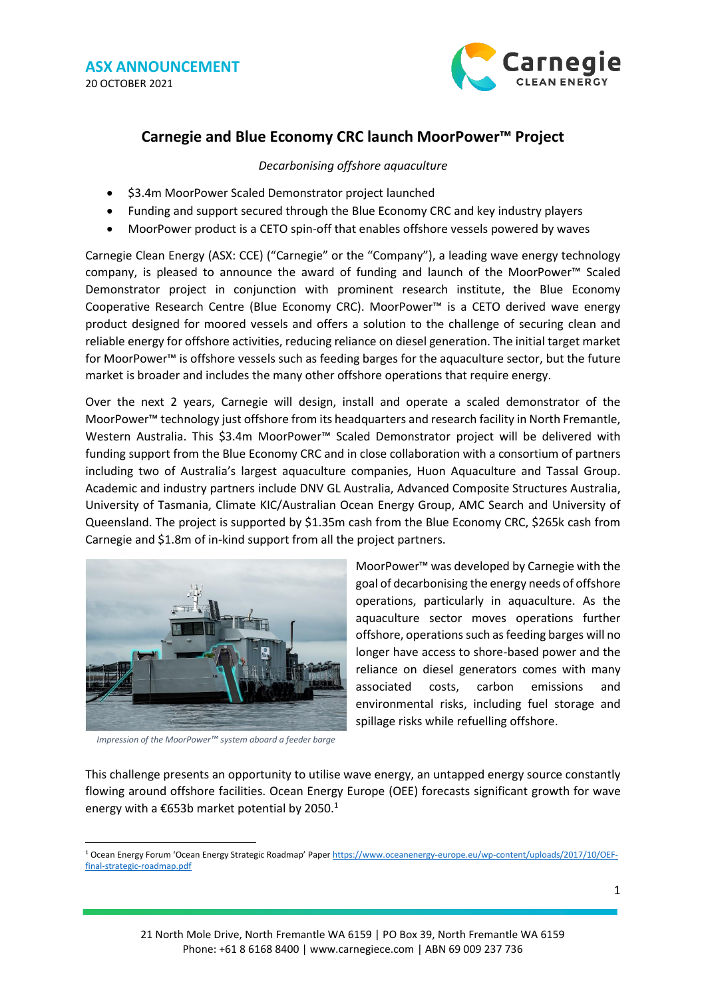

## **Carnegie and Blue Economy CRC launch MoorPower™ Project**

*Decarbonising offshore aquaculture*

- \$3.4m MoorPower Scaled Demonstrator project launched
- Funding and support secured through the Blue Economy CRC and key industry players
- MoorPower product is a CETO spin-off that enables offshore vessels powered by waves

Carnegie Clean Energy (ASX: CCE) ("Carnegie" or the "Company"), a leading wave energy technology company, is pleased to announce the award of funding and launch of the MoorPower™ Scaled Demonstrator project in conjunction with prominent research institute, the Blue Economy Cooperative Research Centre (Blue Economy CRC). MoorPower™ is a CETO derived wave energy product designed for moored vessels and offers a solution to the challenge of securing clean and reliable energy for offshore activities, reducing reliance on diesel generation. The initial target market for MoorPower™ is offshore vessels such as feeding barges for the aquaculture sector, but the future market is broader and includes the many other offshore operations that require energy.

Over the next 2 years, Carnegie will design, install and operate a scaled demonstrator of the MoorPower™ technology just offshore from its headquarters and research facility in North Fremantle, Western Australia. This \$3.4m MoorPower™ Scaled Demonstrator project will be delivered with funding support from the Blue Economy CRC and in close collaboration with a consortium of partners including two of Australia's largest aquaculture companies, Huon Aquaculture and Tassal Group. Academic and industry partners include DNV GL Australia, Advanced Composite Structures Australia, University of Tasmania, Climate KIC/Australian Ocean Energy Group, AMC Search and University of Queensland. The project is supported by \$1.35m cash from the Blue Economy CRC, \$265k cash from Carnegie and \$1.8m of in-kind support from all the project partners.



*Impression of the MoorPower™ system aboard a feeder barge*

MoorPower™ was developed by Carnegie with the goal of decarbonising the energy needs of offshore operations, particularly in aquaculture. As the aquaculture sector moves operations further offshore, operations such as feeding barges will no longer have access to shore-based power and the reliance on diesel generators comes with many associated costs, carbon emissions and environmental risks, including fuel storage and spillage risks while refuelling offshore.

This challenge presents an opportunity to utilise wave energy, an untapped energy source constantly flowing around offshore facilities. Ocean Energy Europe (OEE) forecasts significant growth for wave energy with a  $\epsilon$ 653b market potential by 2050.<sup>1</sup>

<sup>1</sup> Ocean Energy Forum 'Ocean Energy Strategic Roadmap' Paper [https://www.oceanenergy-europe.eu/wp-content/uploads/2017/10/OEF](https://www.oceanenergy-europe.eu/wp-content/uploads/2017/10/OEF-final-strategic-roadmap.pdf)[final-strategic-roadmap.pdf](https://www.oceanenergy-europe.eu/wp-content/uploads/2017/10/OEF-final-strategic-roadmap.pdf)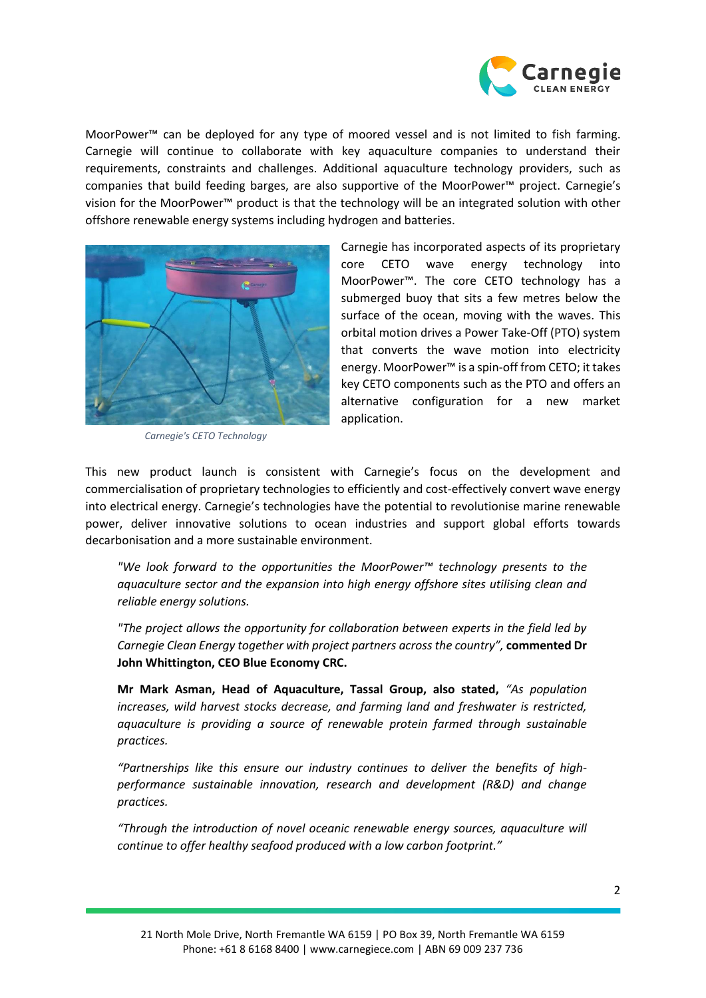

MoorPower™ can be deployed for any type of moored vessel and is not limited to fish farming. Carnegie will continue to collaborate with key aquaculture companies to understand their requirements, constraints and challenges. Additional aquaculture technology providers, such as companies that build feeding barges, are also supportive of the MoorPower™ project. Carnegie's vision for the MoorPower™ product is that the technology will be an integrated solution with other offshore renewable energy systems including hydrogen and batteries.



*Carnegie's CETO Technology*

Carnegie has incorporated aspects of its proprietary core CETO wave energy technology into MoorPower™. The core CETO technology has a submerged buoy that sits a few metres below the surface of the ocean, moving with the waves. This orbital motion drives a Power Take-Off (PTO) system that converts the wave motion into electricity energy. MoorPower™ is a spin-off from CETO; it takes key CETO components such as the PTO and offers an alternative configuration for a new market application.

This new product launch is consistent with Carnegie's focus on the development and commercialisation of proprietary technologies to efficiently and cost-effectively convert wave energy into electrical energy. Carnegie's technologies have the potential to revolutionise marine renewable power, deliver innovative solutions to ocean industries and support global efforts towards decarbonisation and a more sustainable environment.

*"We look forward to the opportunities the MoorPower™ technology presents to the aquaculture sector and the expansion into high energy offshore sites utilising clean and reliable energy solutions.*

*"The project allows the opportunity for collaboration between experts in the field led by Carnegie Clean Energy together with project partners across the country",* **commented Dr John Whittington, CEO Blue Economy CRC.**

**Mr Mark Asman, Head of Aquaculture, Tassal Group, also stated,** *"As population increases, wild harvest stocks decrease, and farming land and freshwater is restricted, aquaculture is providing a source of renewable protein farmed through sustainable practices.* 

*"Partnerships like this ensure our industry continues to deliver the benefits of highperformance sustainable innovation, research and development (R&D) and change practices.* 

*"Through the introduction of novel oceanic renewable energy sources, aquaculture will continue to offer healthy seafood produced with a low carbon footprint."*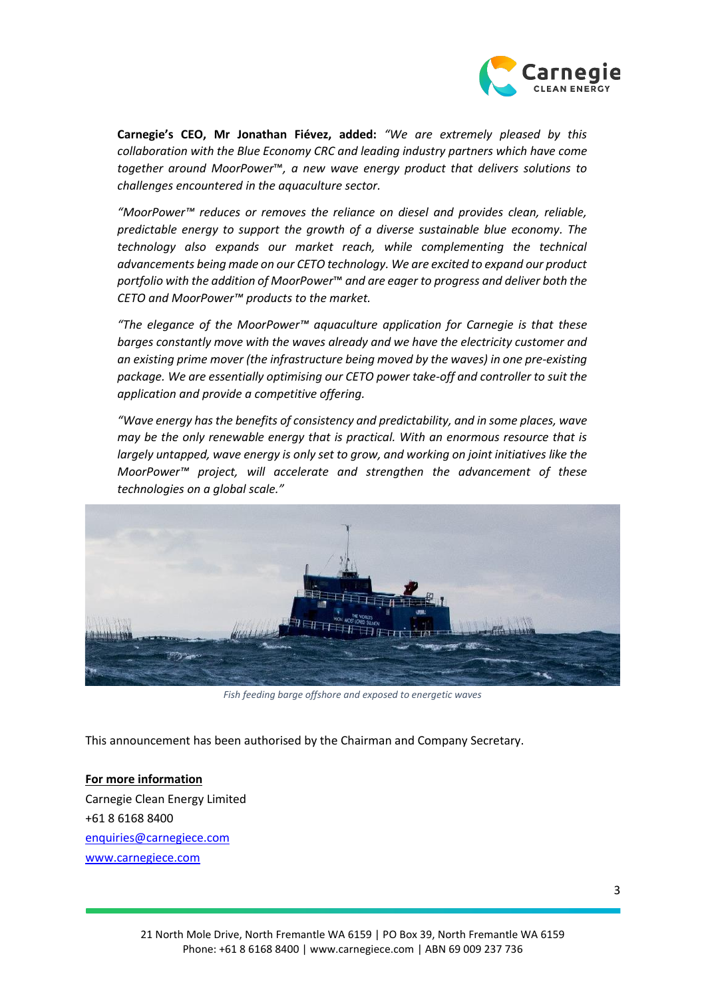

**Carnegie's CEO, Mr Jonathan Fiévez, added:** *"We are extremely pleased by this collaboration with the Blue Economy CRC and leading industry partners which have come together around MoorPower*™*, a new wave energy product that delivers solutions to challenges encountered in the aquaculture sector.* 

*"MoorPower™ reduces or removes the reliance on diesel and provides clean, reliable, predictable energy to support the growth of a diverse sustainable blue economy. The technology also expands our market reach, while complementing the technical advancements being made on our CETO technology. We are excited to expand our product portfolio with the addition of MoorPower*™ *and are eager to progress and deliver both the CETO and MoorPower™ products to the market.* 

*"The elegance of the MoorPower™ aquaculture application for Carnegie is that these barges constantly move with the waves already and we have the electricity customer and an existing prime mover (the infrastructure being moved by the waves) in one pre-existing package. We are essentially optimising our CETO power take-off and controller to suit the application and provide a competitive offering.*

*"Wave energy has the benefits of consistency and predictability, and in some places, wave may be the only renewable energy that is practical. With an enormous resource that is largely untapped, wave energy is only set to grow, and working on joint initiatives like the MoorPower™ project, will accelerate and strengthen the advancement of these technologies on a global scale."*



*Fish feeding barge offshore and exposed to energetic waves*

This announcement has been authorised by the Chairman and Company Secretary.

**For more information** Carnegie Clean Energy Limited +61 8 6168 8400 [enquiries@carnegiece.com](mailto:enquiries@carnegiece.com) [www.carnegiece.com](http://www.carnegiece.com/)